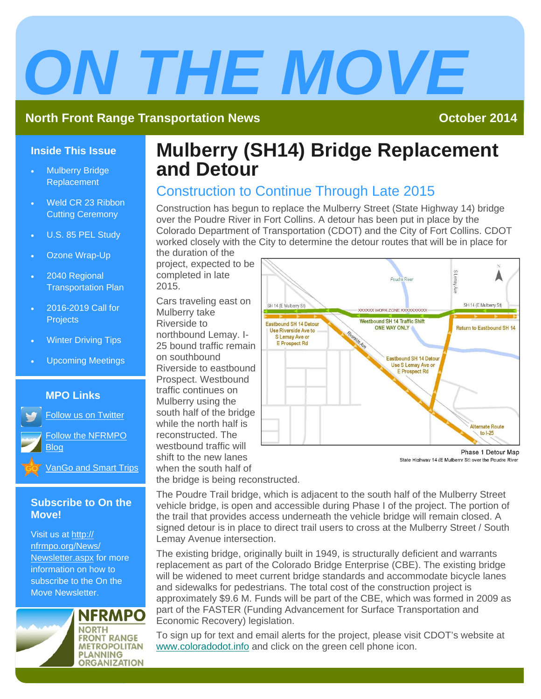# *ON THE MOVE*

#### **North Front Range Transportation News Contract Contract Contract Contract Contract Contract Contract Contract Contract Contract Contract Contract Contract Contract Contract Contract Contract Contract Contract Contract Co**

#### **Inside This Issue**

- Mulberry Bridge Replacement
- Weld CR 23 Ribbon Cutting Ceremony
- U.S. 85 PEL Study
- Ozone Wrap-Up
- 2040 Regional Transportation Plan
- 2016-2019 Call for **Projects**
- Winter Driving Tips
- Upcoming Meetings

#### **MPO Links**

Follow us on Twitter

[Follow the NFRMPO](http://nfrmpo.blogspot.com/) Blog

[VanGo and Smart Trips](https://www.smarttrips.org/) 

#### **Subscribe to On the Move!**

Visit us at http:// nfrmpo.org/News/ [Newsletter.aspx fo](http://nfrmpo.org/News/Newsletter.aspx)r more information on how to subscribe to the On the Move Newsletter.



## **Mulberry (SH14) Bridge Replacement and Detour**

### Construction to Continue Through Late 2015

Construction has begun to replace the Mulberry Street (State Highway 14) bridge over the Poudre River in Fort Collins. A detour has been put in place by the Colorado Department of Transportation (CDOT) and the City of Fort Collins. CDOT worked closely with the City to determine the detour routes that will be in place for

the duration of the project, expected to be completed in late 2015.

Cars traveling east on Mulberry take Riverside to northbound Lemay. I-25 bound traffic remain on southbound Riverside to eastbound Prospect. Westbound traffic continues on Mulberry using the south half of the bridge while the north half is reconstructed. The westbound traffic will shift to the new lanes when the south half of the bridge is being reconstructed.



Phase 1 Detour Map State Highway 14 (E Mulberry St) over the Poudre River

The Poudre Trail bridge, which is adjacent to the south half of the Mulberry Street vehicle bridge, is open and accessible during Phase I of the project. The portion of the trail that provides access underneath the vehicle bridge will remain closed. A signed detour is in place to direct trail users to cross at the Mulberry Street / South Lemay Avenue intersection.

The existing bridge, originally built in 1949, is structurally deficient and warrants replacement as part of the Colorado Bridge Enterprise (CBE). The existing bridge will be widened to meet current bridge standards and accommodate bicycle lanes and sidewalks for pedestrians. The total cost of the construction project is approximately \$9.6 M. Funds will be part of the CBE, which was formed in 2009 as part of the FASTER (Funding Advancement for Surface Transportation and Economic Recovery) legislation.

To sign up for text and email alerts for the project, please visit CDOT's website at www.coloradodot.info and click on the green cell phone icon.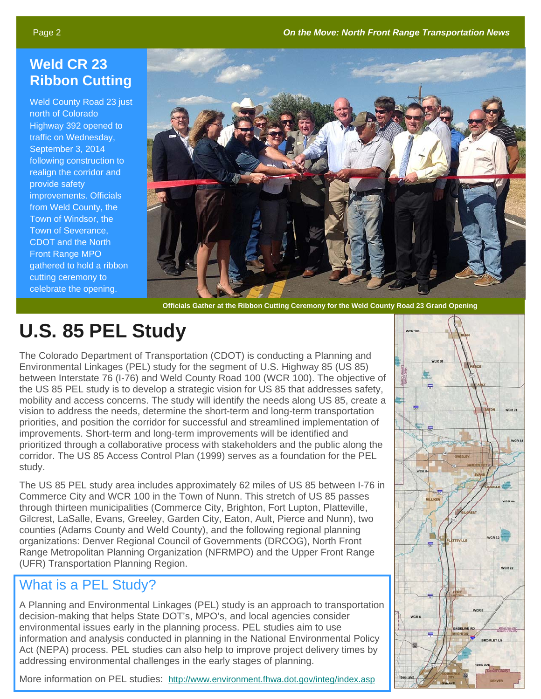## **Weld CR 23 Ribbon Cutting**

Weld County Road 23 just north of Colorado Highway 392 opened to traffic on Wednesday, September 3, 2014 following construction to realign the corridor and provide safety improvements. Officials from Weld County, the Town of Windsor, the Town of Severance, CDOT and the North Front Range MPO gathered to hold a ribbon cutting ceremony to celebrate the opening.



 **Officials Gather at the Ribbon Cutting Ceremony for the Weld County Road 23 Grand Opening** 

# **U.S. 85 PEL Study**

The Colorado Department of Transportation (CDOT) is conducting a Planning and Environmental Linkages (PEL) study for the segment of U.S. Highway 85 (US 85) between Interstate 76 (I-76) and Weld County Road 100 (WCR 100). The objective of the US 85 PEL study is to develop a strategic vision for US 85 that addresses safety, mobility and access concerns. The study will identify the needs along US 85, create a vision to address the needs, determine the short-term and long-term transportation priorities, and position the corridor for successful and streamlined implementation of improvements. Short-term and long-term improvements will be identified and prioritized through a collaborative process with stakeholders and the public along the corridor. The US 85 Access Control Plan (1999) serves as a foundation for the PEL study.

The US 85 PEL study area includes approximately 62 miles of US 85 between I-76 in Commerce City and WCR 100 in the Town of Nunn. This stretch of US 85 passes through thirteen municipalities (Commerce City, Brighton, Fort Lupton, Platteville, Gilcrest, LaSalle, Evans, Greeley, Garden City, Eaton, Ault, Pierce and Nunn), two counties (Adams County and Weld County), and the following regional planning organizations: Denver Regional Council of Governments (DRCOG), North Front Range Metropolitan Planning Organization (NFRMPO) and the Upper Front Range (UFR) Transportation Planning Region.

## What is a PEL Study?

A Planning and Environmental Linkages (PEL) study is an approach to transportation decision-making that helps State DOT's, MPO's, and local agencies consider environmental issues early in the planning process. PEL studies aim to use information and analysis conducted in planning in the National Environmental Policy Act (NEPA) process. PEL studies can also help to improve project delivery times by addressing environmental challenges in the early stages of planning.

More information on PEL studies: http://www.environment.fhwa.dot.gov/integ/index.asp

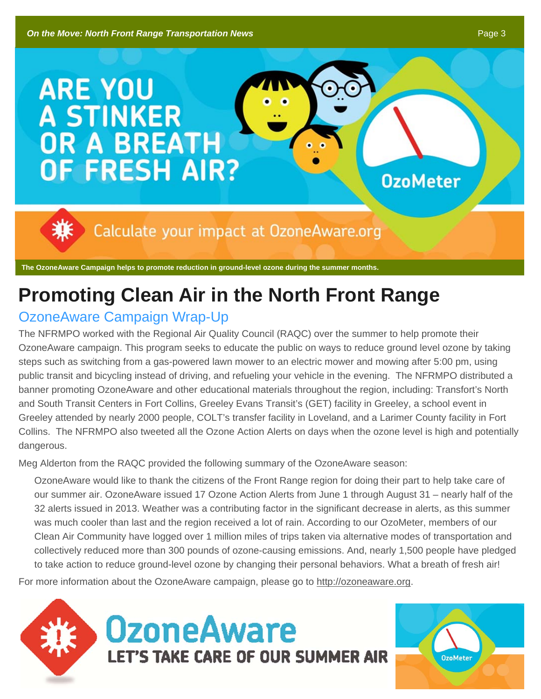# **ARE YOU A STINKER OR A BREATH OF FRESH AIR?**

Calculate your impact at OzoneAware.org

**The OzoneAware Campaign helps to promote reduction in ground-level ozone during the summer months.** 

# **Promoting Clean Air in the North Front Range**

## OzoneAware Campaign Wrap-Up

The NFRMPO worked with the Regional Air Quality Council (RAQC) over the summer to help promote their OzoneAware campaign. This program seeks to educate the public on ways to reduce ground level ozone by taking steps such as switching from a gas-powered lawn mower to an electric mower and mowing after 5:00 pm, using public transit and bicycling instead of driving, and refueling your vehicle in the evening. The NFRMPO distributed a banner promoting OzoneAware and other educational materials throughout the region, including: Transfort's North and South Transit Centers in Fort Collins, Greeley Evans Transit's (GET) facility in Greeley, a school event in Greeley attended by nearly 2000 people, COLT's transfer facility in Loveland, and a Larimer County facility in Fort Collins. The NFRMPO also tweeted all the Ozone Action Alerts on days when the ozone level is high and potentially dangerous.

Meg Alderton from the RAQC provided the following summary of the OzoneAware season:

OzoneAware would like to thank the citizens of the Front Range region for doing their part to help take care of our summer air. OzoneAware issued 17 Ozone Action Alerts from June 1 through August 31 – nearly half of the 32 alerts issued in 2013. Weather was a contributing factor in the significant decrease in alerts, as this summer was much cooler than last and the region received a lot of rain. According to our OzoMeter, members of our Clean Air Community have logged over 1 million miles of trips taken via alternative modes of transportation and collectively reduced more than 300 pounds of ozone-causing emissions. And, nearly 1,500 people have pledged to take action to reduce ground-level ozone by changing their personal behaviors. What a breath of fresh air!

For more information about the OzoneAware campaign, please go to http://ozoneaware.org.



**OzoMeter**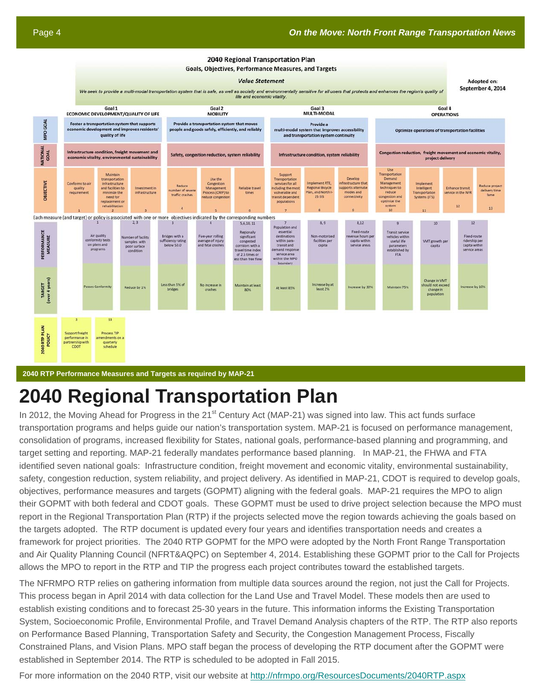Adopted on:

#### 2040 Regional Transportation Plan

**Goals, Objectives, Performance Measures, and Targets** 

#### **Value Statement**

September 4, 2014 We seek to provide a multi-modal transportation system that is safe, as well as socially and environmentally sensitive for all users that protects and enhances the region's quality of life and economic vitality. Goal 1 Goal 2 Goal 4 Goal 3 MULTI-MODAL **ECONOMIC DEVELOPMENT/QUALITY OF LIFE MOBILITY OPERATIONS** MPO GOAL Foster a transportation system that supports<br>economic development and improves residents Provide a transportation system that moves<br>people and goods safely, efficiently, and reliably Provide a multi-modal system that improves accessibility Optimize operations of transportation facilitie quality of life and transportation system continuity **NATIONAL** Infrastructure condition, freight movement and Congestion reduction, freight movement and economic vitality Safety, congestion reduction, system reliability Infrastructure condition, system reliability project delivery economic vitality, environmental sustainability The Maintair Support<br>ansportat Demand Develop infrastructure<br>and facilities to sportation<br>ices for all DBJECTIVE Implement RTE. Conforms to air Reduci Reduce pro Management<br>rocess (CMP) t ling the r ports alt techniques to **Reliable trave Regional Bicycle** Enhance transit delivery tim mize the infrastructur vulnerable and lan, and North<br>25 EIS reduce rvice in the NFR requirement time traffic crashe fame need for nsit depender<br>populations connectivity replacement o rehabilitation  $12$  $13$ Each measure (and target) or policy is associated with one or more objectives indicated by the corresponding numbers 5.6.10.11  $R$   $Q$  $8.12$  $2.3$ pulation and<br>essential Fixed-rout **PERFORMANCE**<br>MEASURE Regionally<br>significant Five-year rolling<br>average of injury<br>and fatal crashes umber of faci<br>samples with<br>poor surface Bridges with a venue hours p<br>capita within hides withi<br>useful life facilities per ency ratiny<br>ow 50.0 congested ithin para<br>ransit and VMT growth pe ridership pe<br>capita withii idors with travel time inde<br>of 2.5 times or<br>ess than free flo nice area<br>in the MP<mark>(</mark> TARGET<br>[over 4 years] Change in VMT Less than 5% of Maintain at least No increase in crease by at<br>least 2% Sassas Conformit ase by 30% Maintain 759 Reduce by 1% At least 85% change in<br>population  $13$ **2040 RTP PLAN** Process TIP  $CDO$ schedule

**2040 RTP Performance Measures and Targets as required by MAP-21** 

## **2040 Regional Transportation Plan**

In 2012, the Moving Ahead for Progress in the 21<sup>st</sup> Century Act (MAP-21) was signed into law. This act funds surface transportation programs and helps guide our nation's transportation system. MAP-21 is focused on performance management, consolidation of programs, increased flexibility for States, national goals, performance-based planning and programming, and target setting and reporting. MAP-21 federally mandates performance based planning. In MAP-21, the FHWA and FTA identified seven national goals: Infrastructure condition, freight movement and economic vitality, environmental sustainability, safety, congestion reduction, system reliability, and project delivery. As identified in MAP-21, CDOT is required to develop goals, objectives, performance measures and targets (GOPMT) aligning with the federal goals. MAP-21 requires the MPO to align their GOPMT with both federal and CDOT goals. These GOPMT must be used to drive project selection because the MPO must report in the Regional Transportation Plan (RTP) if the projects selected move the region towards achieving the goals based on the targets adopted. The RTP document is updated every four years and identifies transportation needs and creates a framework for project priorities. The 2040 RTP GOPMT for the MPO were adopted by the North Front Range Transportation and Air Quality Planning Council (NFRT&AQPC) on September 4, 2014. Establishing these GOPMT prior to the Call for Projects allows the MPO to report in the RTP and TIP the progress each project contributes toward the established targets.

The NFRMPO RTP relies on gathering information from multiple data sources around the region, not just the Call for Projects. This process began in April 2014 with data collection for the Land Use and Travel Model. These models then are used to establish existing conditions and to forecast 25-30 years in the future. This information informs the Existing Transportation System, Socioeconomic Profile, Environmental Profile, and Travel Demand Analysis chapters of the RTP. The RTP also reports on Performance Based Planning, Transportation Safety and Security, the Congestion Management Process, Fiscally Constrained Plans, and Vision Plans. MPO staff began the process of developing the RTP document after the GOPMT were established in September 2014. The RTP is scheduled to be adopted in Fall 2015.

For more information on the 2040 RTP, visit our website at http://nfrmpo.org/ResourcesDocuments/2040RTP.aspx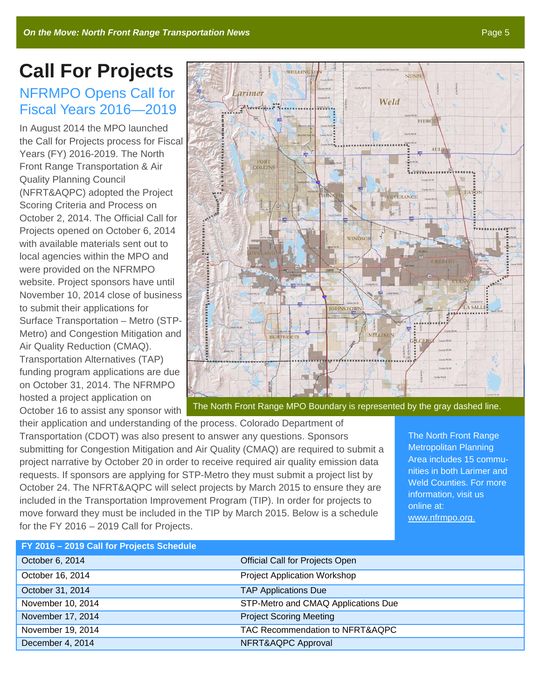# **Call For Projects**

### NFRMPO Opens Call for Fiscal Years 2016—2019

In August 2014 the MPO launched the Call for Projects process for Fiscal Years (FY) 2016-2019. The North Front Range Transportation & Air Quality Planning Council (NFRT&AQPC) adopted the Project Scoring Criteria and Process on October 2, 2014. The Official Call for Projects opened on October 6, 2014 with available materials sent out to local agencies within the MPO and were provided on the NFRMPO website. Project sponsors have until November 10, 2014 close of business to submit their applications for Surface Transportation – Metro (STP-Metro) and Congestion Mitigation and Air Quality Reduction (CMAQ). Transportation Alternatives (TAP) funding program applications are due on October 31, 2014. The NFRMPO hosted a project application on October 16 to assist any sponsor with



their application and understanding of the process. Colorado Department of Transportation (CDOT) was also present to answer any questions. Sponsors submitting for Congestion Mitigation and Air Quality (CMAQ) are required to submit a project narrative by October 20 in order to receive required air quality emission data requests. If sponsors are applying for STP-Metro they must submit a project list by October 24. The NFRT&AQPC will select projects by March 2015 to ensure they are included in the Transportation Improvement Program (TIP). In order for projects to move forward they must be included in the TIP by March 2015. Below is a schedule for the FY 2016 – 2019 Call for Projects.

The North Front Range Metropolitan Planning Area includes 15 communities in both Larimer and Weld Counties. For more information, visit us online at: www.nfrmpo.org.

| FY 2016 - 2019 Call for Projects Schedule |                                        |
|-------------------------------------------|----------------------------------------|
| October 6, 2014                           | <b>Official Call for Projects Open</b> |
| October 16, 2014                          | <b>Project Application Workshop</b>    |
| October 31, 2014                          | <b>TAP Applications Due</b>            |
| November 10, 2014                         | STP-Metro and CMAQ Applications Due    |
| November 17, 2014                         | <b>Project Scoring Meeting</b>         |
| November 19, 2014                         | TAC Recommendation to NFRT&AQPC        |
| December 4, 2014                          | NFRT&AQPC Approval                     |